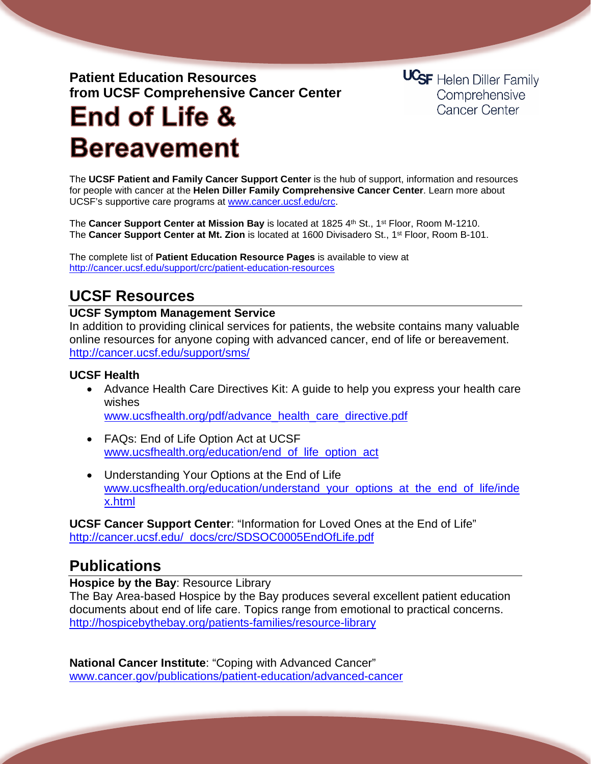# **Patient Education Resources from UCSF Comprehensive Cancer Center**

**UCSF** Helen Diller Family Comprehensive **Cancer Center** 

# **End of Life & Bereavement**

The **UCSF Patient and Family Cancer Support Center** is the hub of support, information and resources for people with cancer at the **Helen Diller Family Comprehensive Cancer Center**. Learn more about UCSF's supportive care programs at [www.cancer.ucsf.edu/crc.](http://www.cancer.ucsf.edu/crc)

The **Cancer Support Center at Mission Bay** is located at 1825 4th St., 1<sup>st</sup> Floor, Room M-1210. The **Cancer Support Center at Mt. Zion** is located at 1600 Divisadero St., 1st Floor, Room B-101.

The complete list of **Patient Education Resource Pages** is available to view at <http://cancer.ucsf.edu/support/crc/patient-education-resources>

# **UCSF Resources**

#### **UCSF Symptom Management Service**

In addition to providing clinical services for patients, the website contains many valuable online resources for anyone coping with advanced cancer, end of life or bereavement. <http://cancer.ucsf.edu/support/sms/>

## **UCSF Health**

- Advance Health Care Directives Kit: A guide to help you express your health care wishes [www.ucsfhealth.org/pdf/advance\\_health\\_care\\_directive.pdf](http://www.ucsfhealth.org/pdf/advance_health_care_directive.pdf)
- FAQs: End of Life Option Act at UCSF [www.ucsfhealth.org/education/end\\_of\\_life\\_option\\_act](http://www.ucsfhealth.org/education/end_of_life_option_act)
- Understanding Your Options at the End of Life [www.ucsfhealth.org/education/understand\\_your\\_options\\_at\\_the\\_end\\_of\\_life/inde](http://www.ucsfhealth.org/education/understand_your_options_at_the_end_of_life/index.html) [x.html](http://www.ucsfhealth.org/education/understand_your_options_at_the_end_of_life/index.html)

**UCSF Cancer Support Center**: "Information for Loved Ones at the End of Life" [http://cancer.ucsf.edu/\\_docs/crc/SDSOC0005EndOfLife.pdf](http://cancer.ucsf.edu/_docs/crc/SDSOC0005EndOfLife.pdf)

# **Publications**

**Hospice by the Bay**: Resource Library

The Bay Area-based Hospice by the Bay produces several excellent patient education documents about end of life care. Topics range from emotional to practical concerns. <http://hospicebythebay.org/patients-families/resource-library>

**National Cancer Institute**: "Coping with Advanced Cancer" [www.cancer.gov/publications/patient-education/advanced-cancer](http://www.cancer.gov/publications/patient-education/advanced-cancer)